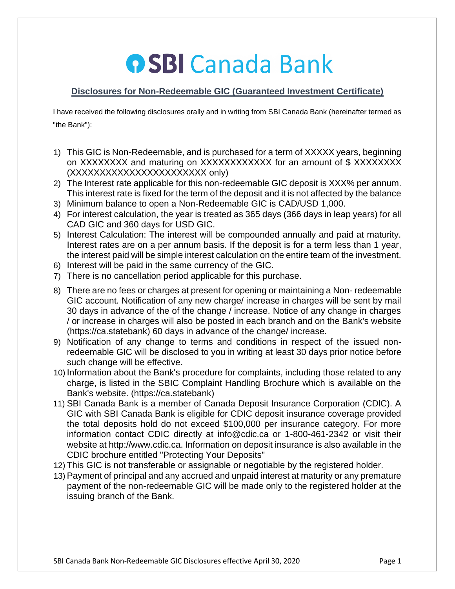## **OSBI Canada Bank**

## **Disclosures for Non-Redeemable GIC (Guaranteed Investment Certificate)**

I have received the following disclosures orally and in writing from SBI Canada Bank (hereinafter termed as "the Bank"):

- 1) This GIC is Non-Redeemable, and is purchased for a term of XXXXX years, beginning on XXXXXXXX and maturing on XXXXXXXXXXXX for an amount of \$ XXXXXXXX (XXXXXXXXXXXXXXXXXXXXXXX only)
- 2) The Interest rate applicable for this non-redeemable GIC deposit is XXX% per annum. This interest rate is fixed for the term of the deposit and it is not affected by the balance
- 3) Minimum balance to open a Non-Redeemable GIC is CAD/USD 1,000.
- 4) For interest calculation, the year is treated as 365 days (366 days in leap years) for all CAD GIC and 360 days for USD GIC.
- 5) Interest Calculation: The interest will be compounded annually and paid at maturity. Interest rates are on a per annum basis. If the deposit is for a term less than 1 year, the interest paid will be simple interest calculation on the entire team of the investment.
- 6) Interest will be paid in the same currency of the GIC.
- 7) There is no cancellation period applicable for this purchase.
- 8) There are no fees or charges at present for opening or maintaining a Non- redeemable GIC account. Notification of any new charge/ increase in charges will be sent by mail 30 days in advance of the of the change / increase. Notice of any change in charges / or increase in charges will also be posted in each branch and on the Bank's website (https://ca.statebank) 60 days in advance of the change/ increase.
- 9) Notification of any change to terms and conditions in respect of the issued nonredeemable GIC will be disclosed to you in writing at least 30 days prior notice before such change will be effective.
- 10) Information about the Bank's procedure for complaints, including those related to any charge, is listed in the SBIC Complaint Handling Brochure which is available on the Bank's website. (https://ca.statebank)
- 11) SBI Canada Bank is a member of Canada Deposit Insurance Corporation (CDlC). A GIC with SBI Canada Bank is eligible for CDIC deposit insurance coverage provided the total deposits hold do not exceed \$100,000 per insurance category. For more information contact CDIC directly at info@cdic.ca or 1-800-461-2342 or visit their website at http://www.cdic.ca. Information on deposit insurance is also available in the CDIC brochure entitled "Protecting Your Deposits"
- 12) This GIC is not transferable or assignable or negotiable by the registered holder.
- 13) Payment of principal and any accrued and unpaid interest at maturity or any premature payment of the non-redeemable GIC will be made only to the registered holder at the issuing branch of the Bank.